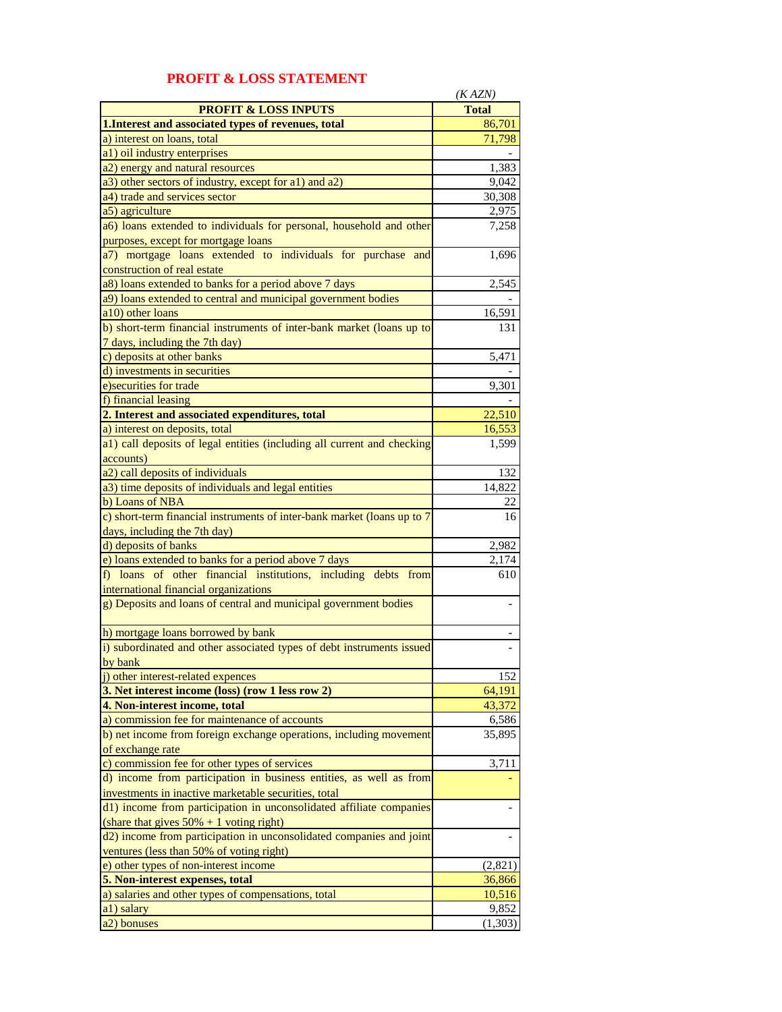|                                                                         | (KAZN)       |
|-------------------------------------------------------------------------|--------------|
| <b>PROFIT &amp; LOSS INPUTS</b>                                         | <b>Total</b> |
| 1. Interest and associated types of revenues, total                     | 86,701       |
| a) interest on loans, total                                             | 71,798       |
| a1) oil industry enterprises                                            |              |
| a2) energy and natural resources                                        | 1,383        |
| a3) other sectors of industry, except for a1) and a2)                   | 9,042        |
| a4) trade and services sector                                           | 30,308       |
| a5) agriculture                                                         | 2,975        |
| a6) loans extended to individuals for personal, household and other     | 7,258        |
| purposes, except for mortgage loans                                     |              |
| a7) mortgage loans extended to individuals for purchase and             | 1,696        |
| construction of real estate                                             |              |
| a8) loans extended to banks for a period above 7 days                   | 2,545        |
| a9) loans extended to central and municipal government bodies           |              |
| a10) other loans                                                        | 16,591       |
| b) short-term financial instruments of inter-bank market (loans up to   | 131          |
| 7 days, including the 7th day)                                          |              |
| c) deposits at other banks                                              | 5,471        |
| d) investments in securities                                            |              |
| e) securities for trade                                                 | 9,301        |
| f) financial leasing                                                    |              |
| 2. Interest and associated expenditures, total                          | 22,510       |
| a) interest on deposits, total                                          | 16,553       |
| a1) call deposits of legal entities (including all current and checking | 1,599        |
| accounts)                                                               |              |
| a2) call deposits of individuals                                        | 132          |
| a3) time deposits of individuals and legal entities                     | 14,822       |
| b) Loans of NBA                                                         | 22           |
| c) short-term financial instruments of inter-bank market (loans up to 7 | 16           |
| days, including the 7th day)                                            |              |
| d) deposits of banks                                                    | 2,982        |
| e) loans extended to banks for a period above 7 days                    | 2,174        |
| f) loans of other financial institutions, including debts from          | 610          |
| international financial organizations                                   |              |
| g) Deposits and loans of central and municipal government bodies        |              |
| h) mortgage loans borrowed by bank                                      |              |
| i) subordinated and other associated types of debt instruments issued   |              |
| by bank                                                                 |              |
| i) other interest-related expences                                      | 152          |
| 3. Net interest income (loss) (row 1 less row 2)                        | 64,191       |
| 4. Non-interest income, total                                           | 43,372       |
| a) commission fee for maintenance of accounts                           | 6,586        |
| b) net income from foreign exchange operations, including movement      | 35,895       |
| of exchange rate                                                        |              |
| c) commission fee for other types of services                           | 3,711        |
| d) income from participation in business entities, as well as from      |              |
| investments in inactive marketable securities, total                    |              |
| d1) income from participation in unconsolidated affiliate companies     |              |
| (share that gives $50\% + 1$ voting right)                              |              |
| d2) income from participation in unconsolidated companies and joint     |              |
| ventures (less than 50% of voting right)                                |              |
| e) other types of non-interest income                                   | (2,821)      |
| 5. Non-interest expenses, total                                         | 36,866       |
| a) salaries and other types of compensations, total                     | 10,516       |
| a1) salary                                                              | 9,852        |
| a2) bonuses                                                             | (1,303)      |

## **PROFIT & LOSS STATEMENT**